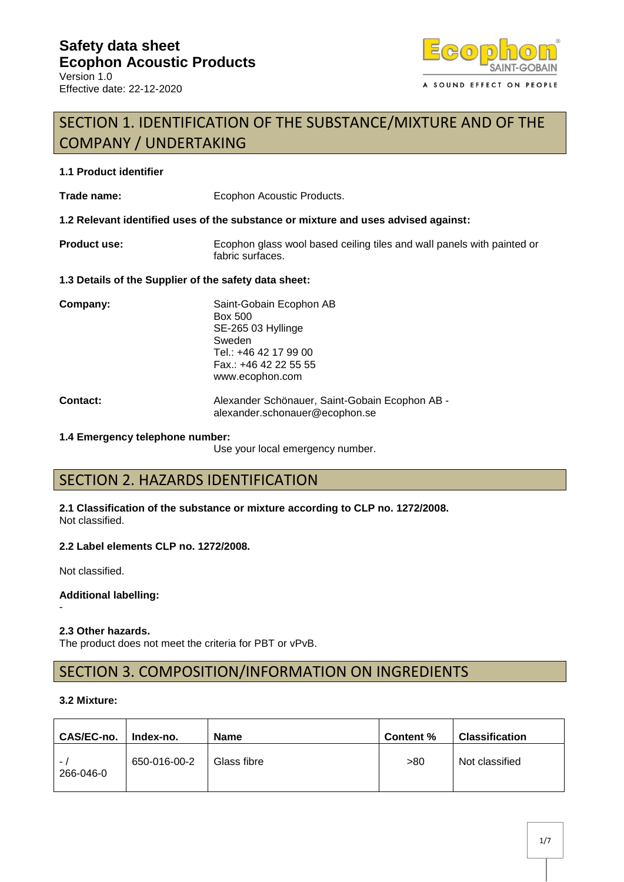

# SECTION 1. IDENTIFICATION OF THE SUBSTANCE/MIXTURE AND OF THE COMPANY / UNDERTAKING

### **1.1 Product identifier**

Trade name: Ecophon Acoustic Products.

**1.2 Relevant identified uses of the substance or mixture and uses advised against:**

**Product use:** Ecophon glass wool based ceiling tiles and wall panels with painted or fabric surfaces.

#### **1.3 Details of the Supplier of the safety data sheet:**

| Company: | Saint-Gobain Ecophon AB<br><b>Box 500</b><br>SE-265 03 Hyllinge<br>Sweden<br>Tel.: +46 42 17 99 00<br>Fax.: +46 42 22 55 55<br>www.ecophon.com |  |
|----------|------------------------------------------------------------------------------------------------------------------------------------------------|--|
| Contract | Alexander Schönauer, Saint-Gobain I                                                                                                            |  |

**Contact:** Alexander Schönauer, Saint-Gobain Ecophon AB alexander.schonauer@ecophon.se

#### **1.4 Emergency telephone number:**

Use your local emergency number.

# SECTION 2. HAZARDS IDENTIFICATION

**2.1 Classification of the substance or mixture according to CLP no. 1272/2008.** Not classified.

### **2.2 Label elements CLP no. 1272/2008.**

Not classified.

-

**Additional labelling:**

### **2.3 Other hazards.**

The product does not meet the criteria for PBT or vPvB.

## SECTION 3. COMPOSITION/INFORMATION ON INGREDIENTS

#### **3.2 Mixture:**

| CAS/EC-no.            | Index-no.    | <b>Name</b> | Content % | <b>Classification</b> |
|-----------------------|--------------|-------------|-----------|-----------------------|
| $\sim$ .<br>266-046-0 | 650-016-00-2 | Glass fibre | >80       | Not classified        |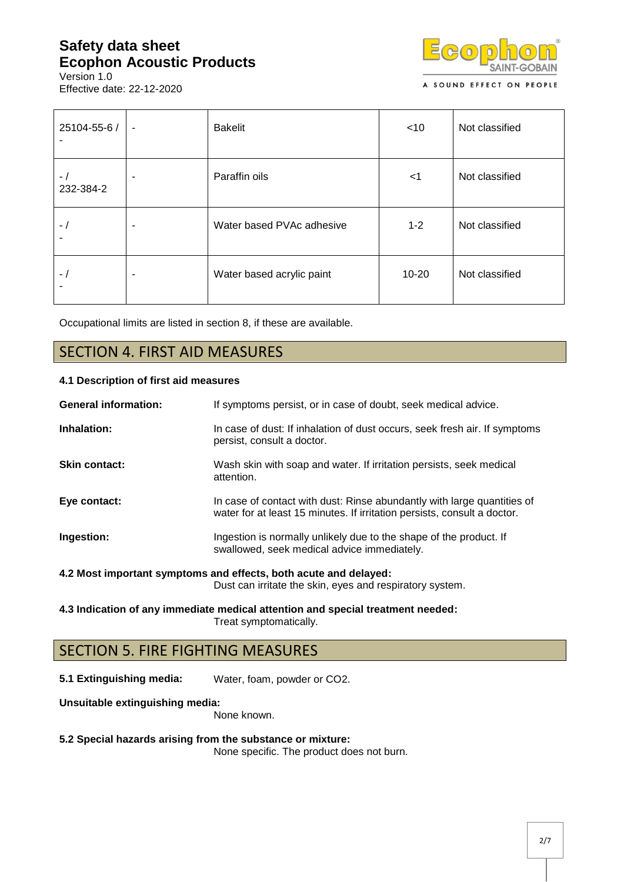Version 1.0 Effective date: 22-12-2020



| 25104-55-6 /      | $\blacksquare$ | <b>Bakelit</b>            | $<$ 10    | Not classified |
|-------------------|----------------|---------------------------|-----------|----------------|
| $-1$<br>232-384-2 | ۰              | Paraffin oils             | $<$ 1     | Not classified |
| $-1$              | ٠              | Water based PVAc adhesive | $1 - 2$   | Not classified |
| $\overline{a}$    | ۰              | Water based acrylic paint | $10 - 20$ | Not classified |

Occupational limits are listed in section 8, if these are available.

## SECTION 4. FIRST AID MEASURES

### **4.1 Description of first aid measures**

| <b>General information:</b> | If symptoms persist, or in case of doubt, seek medical advice.                                                                                      |
|-----------------------------|-----------------------------------------------------------------------------------------------------------------------------------------------------|
| Inhalation:                 | In case of dust: If inhalation of dust occurs, seek fresh air. If symptoms<br>persist, consult a doctor.                                            |
| <b>Skin contact:</b>        | Wash skin with soap and water. If irritation persists, seek medical<br>attention.                                                                   |
| Eye contact:                | In case of contact with dust: Rinse abundantly with large quantities of<br>water for at least 15 minutes. If irritation persists, consult a doctor. |
| Ingestion:                  | Ingestion is normally unlikely due to the shape of the product. If<br>swallowed, seek medical advice immediately.                                   |
|                             | 4.2 Most important symptoms and effects, both acute and delayed:<br>Dust can irritate the skin, eyes and respiratory system.                        |

**4.3 Indication of any immediate medical attention and special treatment needed:** Treat symptomatically.

## SECTION 5. FIRE FIGHTING MEASURES

**5.1 Extinguishing media:** Water, foam, powder or CO2.

**Unsuitable extinguishing media:**

None known.

#### **5.2 Special hazards arising from the substance or mixture:**

None specific. The product does not burn.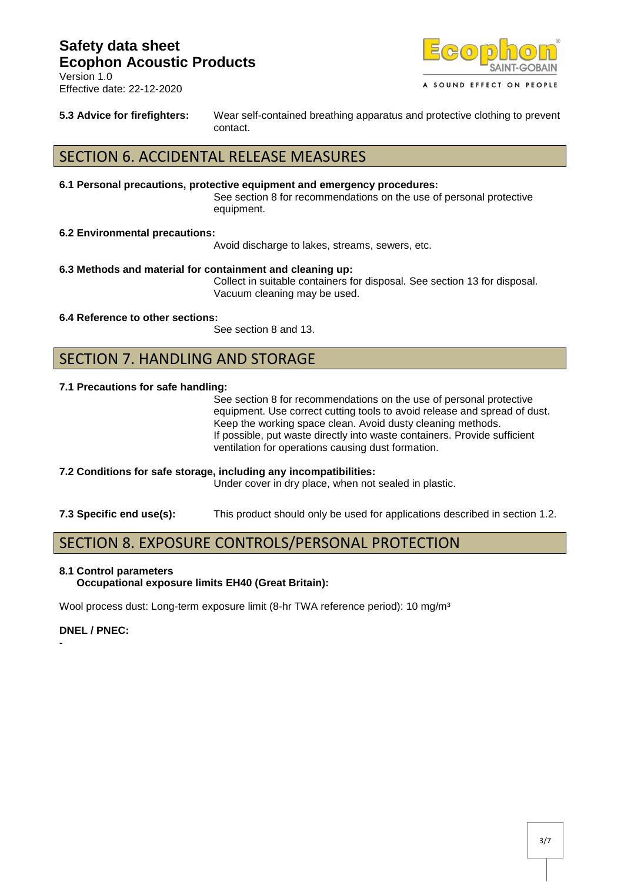



**5.3 Advice for firefighters:** Wear self-contained breathing apparatus and protective clothing to prevent contact.

## SECTION 6. ACCIDENTAL RELEASE MEASURES

#### **6.1 Personal precautions, protective equipment and emergency procedures:**

See section 8 for recommendations on the use of personal protective equipment.

#### **6.2 Environmental precautions:**

Avoid discharge to lakes, streams, sewers, etc.

#### **6.3 Methods and material for containment and cleaning up:**

Collect in suitable containers for disposal. See section 13 for disposal. Vacuum cleaning may be used.

#### **6.4 Reference to other sections:**

See section 8 and 13.

### SECTION 7. HANDLING AND STORAGE

#### **7.1 Precautions for safe handling:**

See section 8 for recommendations on the use of personal protective equipment. Use correct cutting tools to avoid release and spread of dust. Keep the working space clean. Avoid dusty cleaning methods. If possible, put waste directly into waste containers. Provide sufficient ventilation for operations causing dust formation.

- **7.2 Conditions for safe storage, including any incompatibilities:** Under cover in dry place, when not sealed in plastic.
- **7.3 Specific end use(s):** This product should only be used for applications described in section 1.2.

## SECTION 8. EXPOSURE CONTROLS/PERSONAL PROTECTION

#### **8.1 Control parameters Occupational exposure limits EH40 (Great Britain):**

Wool process dust: Long-term exposure limit (8-hr TWA reference period): 10 mg/m<sup>3</sup>

### **DNEL / PNEC:**

-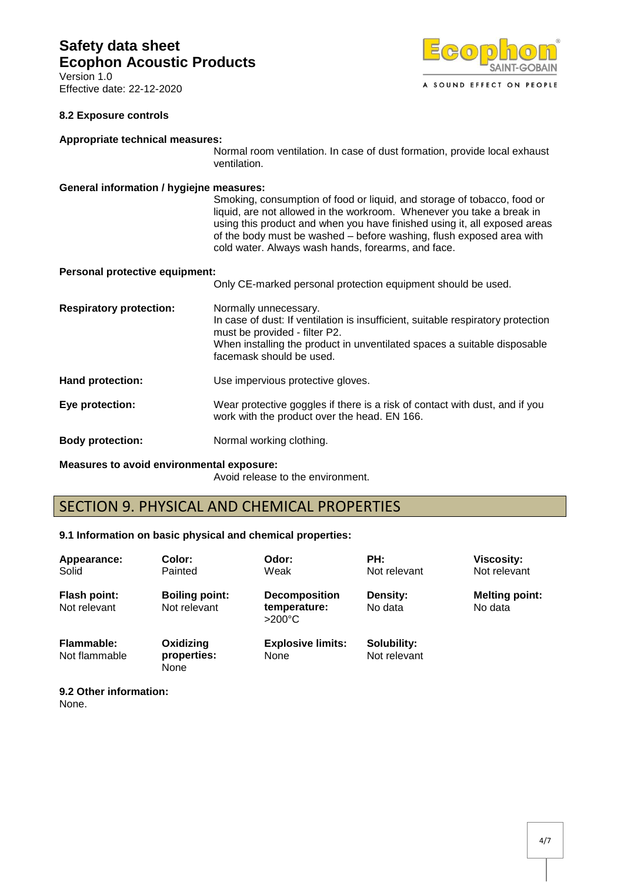Version 1.0 Effective date: 22-12-2020



### **8.2 Exposure controls**

#### **Appropriate technical measures:**

Normal room ventilation. In case of dust formation, provide local exhaust ventilation.

#### **General information / hygiejne measures:**

Smoking, consumption of food or liquid, and storage of tobacco, food or liquid, are not allowed in the workroom. Whenever you take a break in using this product and when you have finished using it, all exposed areas of the body must be washed – before washing, flush exposed area with cold water. Always wash hands, forearms, and face.

#### **Personal protective equipment:**

|                                | Only CE-marked personal protection equipment should be used.                                                                                                                                                                                       |
|--------------------------------|----------------------------------------------------------------------------------------------------------------------------------------------------------------------------------------------------------------------------------------------------|
| <b>Respiratory protection:</b> | Normally unnecessary.<br>In case of dust: If ventilation is insufficient, suitable respiratory protection<br>must be provided - filter P2.<br>When installing the product in unventilated spaces a suitable disposable<br>facemask should be used. |
| <b>Hand protection:</b>        | Use impervious protective gloves.                                                                                                                                                                                                                  |
| Eye protection:                | Wear protective goggles if there is a risk of contact with dust, and if you<br>work with the product over the head. EN 166.                                                                                                                        |
| <b>Body protection:</b>        | Normal working clothing.                                                                                                                                                                                                                           |

**Measures to avoid environmental exposure:**

Avoid release to the environment.

## SECTION 9. PHYSICAL AND CHEMICAL PROPERTIES

### **9.1 Information on basic physical and chemical properties:**

| Appearance:<br>Solid                | Color:<br>Painted                     | Odor:<br>Weak                                            | PH:<br>Not relevant         | <b>Viscosity:</b><br>Not relevant |
|-------------------------------------|---------------------------------------|----------------------------------------------------------|-----------------------------|-----------------------------------|
| <b>Flash point:</b><br>Not relevant | <b>Boiling point:</b><br>Not relevant | <b>Decomposition</b><br>temperature:<br>$>200^{\circ}$ C | Density:<br>No data         | <b>Melting point:</b><br>No data  |
| Flammable:<br>Not flammable         | Oxidizing<br>properties:<br>None      | <b>Explosive limits:</b><br>None                         | Solubility:<br>Not relevant |                                   |

**9.2 Other information:**

None.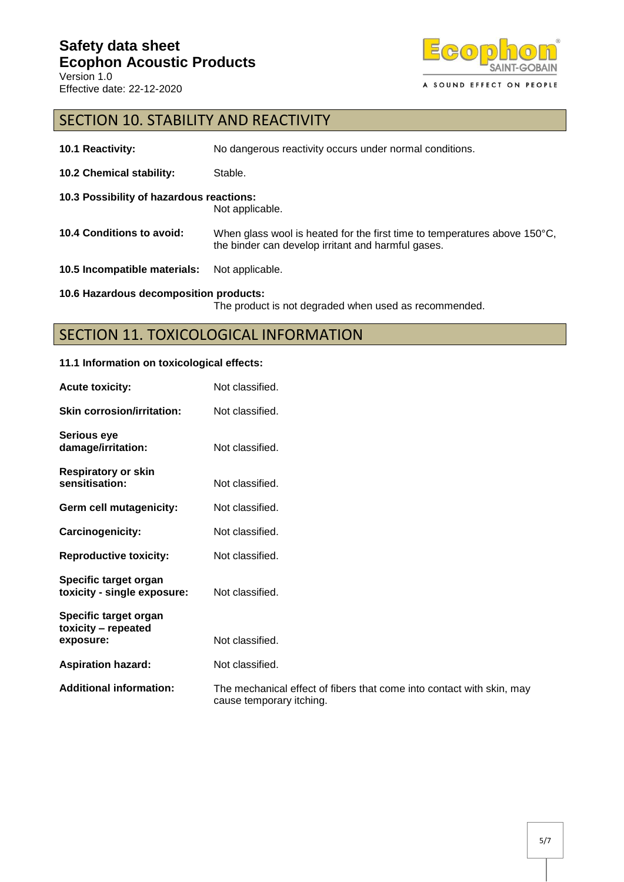

# SECTION 10. STABILITY AND REACTIVITY

| 10.1 Reactivity:                         | No dangerous reactivity occurs under normal conditions.                                                                                   |
|------------------------------------------|-------------------------------------------------------------------------------------------------------------------------------------------|
| <b>10.2 Chemical stability:</b>          | Stable.                                                                                                                                   |
| 10.3 Possibility of hazardous reactions: | Not applicable.                                                                                                                           |
| 10.4 Conditions to avoid:                | When glass wool is heated for the first time to temperatures above $150^{\circ}$ C,<br>the binder can develop irritant and harmful gases. |
| 10.5 Incompatible materials:             | Not applicable.                                                                                                                           |
| 10.6 Hazardous decomposition products:   | The product is not degraded when used as recommended.                                                                                     |

# SECTION 11. TOXICOLOGICAL INFORMATION

### **11.1 Information on toxicological effects:**

| <b>Acute toxicity:</b>                               | Not classified.                                                                                   |
|------------------------------------------------------|---------------------------------------------------------------------------------------------------|
| <b>Skin corrosion/irritation:</b>                    | Not classified.                                                                                   |
| <b>Serious eye</b><br>damage/irritation:             | Not classified.                                                                                   |
| <b>Respiratory or skin</b><br>sensitisation:         | Not classified.                                                                                   |
| Germ cell mutagenicity:                              | Not classified.                                                                                   |
| Carcinogenicity:                                     | Not classified.                                                                                   |
| <b>Reproductive toxicity:</b>                        | Not classified.                                                                                   |
| Specific target organ<br>toxicity - single exposure: | Not classified.                                                                                   |
| Specific target organ<br>toxicity - repeated         |                                                                                                   |
| exposure:                                            | Not classified.                                                                                   |
| <b>Aspiration hazard:</b>                            | Not classified.                                                                                   |
| <b>Additional information:</b>                       | The mechanical effect of fibers that come into contact with skin, may<br>cause temporary itching. |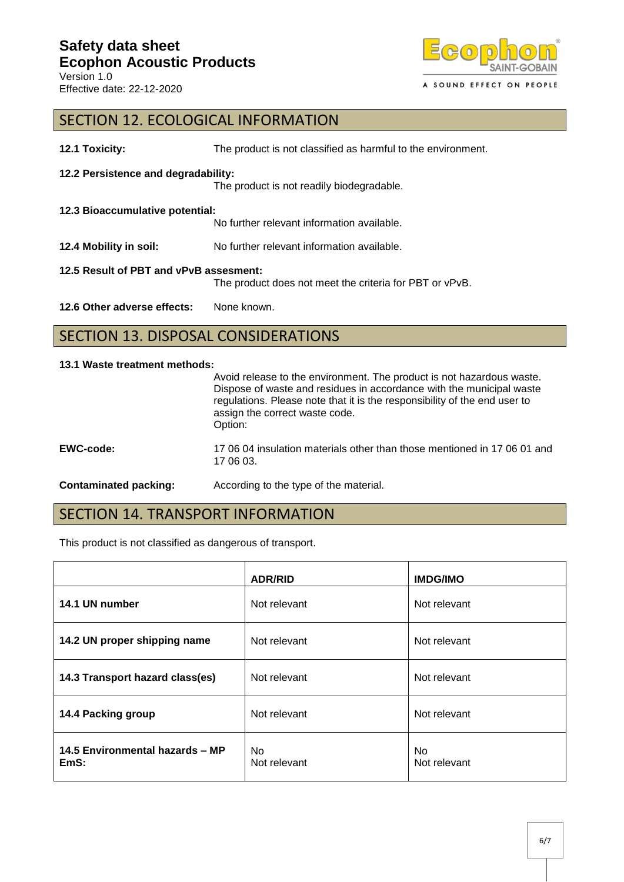

## SECTION 12. ECOLOGICAL INFORMATION

| 12.1 Toxicity:                         | The product is not classified as harmful to the environment. |
|----------------------------------------|--------------------------------------------------------------|
| 12.2 Persistence and degradability:    |                                                              |
|                                        | The product is not readily biodegradable.                    |
| 12.3 Bioaccumulative potential:        |                                                              |
|                                        | No further relevant information available.                   |
| 12.4 Mobility in soil:                 | No further relevant information available.                   |
| 12.5 Result of PBT and vPvB assesment: |                                                              |
|                                        | The product does not meet the criteria for PBT or vPvB.      |
| 12.6 Other adverse effects:            | None known.                                                  |

# SECTION 13. DISPOSAL CONSIDERATIONS

#### **13.1 Waste treatment methods:**

| <b>Contaminated packing:</b> | According to the type of the material.                                                                                                                                                                                                                                  |
|------------------------------|-------------------------------------------------------------------------------------------------------------------------------------------------------------------------------------------------------------------------------------------------------------------------|
| EWC-code:                    | 17.06.04 insulation materials other than those mentioned in 17.06.01 and<br>17 06 03.                                                                                                                                                                                   |
|                              | Avoid release to the environment. The product is not hazardous waste.<br>Dispose of waste and residues in accordance with the municipal waste<br>regulations. Please note that it is the responsibility of the end user to<br>assign the correct waste code.<br>Option: |

## SECTION 14. TRANSPORT INFORMATION

This product is not classified as dangerous of transport.

|                                         | <b>ADR/RID</b>      | <b>IMDG/IMO</b>     |
|-----------------------------------------|---------------------|---------------------|
| 14.1 UN number                          | Not relevant        | Not relevant        |
| 14.2 UN proper shipping name            | Not relevant        | Not relevant        |
| 14.3 Transport hazard class(es)         | Not relevant        | Not relevant        |
| 14.4 Packing group                      | Not relevant        | Not relevant        |
| 14.5 Environmental hazards - MP<br>EmS: | No.<br>Not relevant | No.<br>Not relevant |